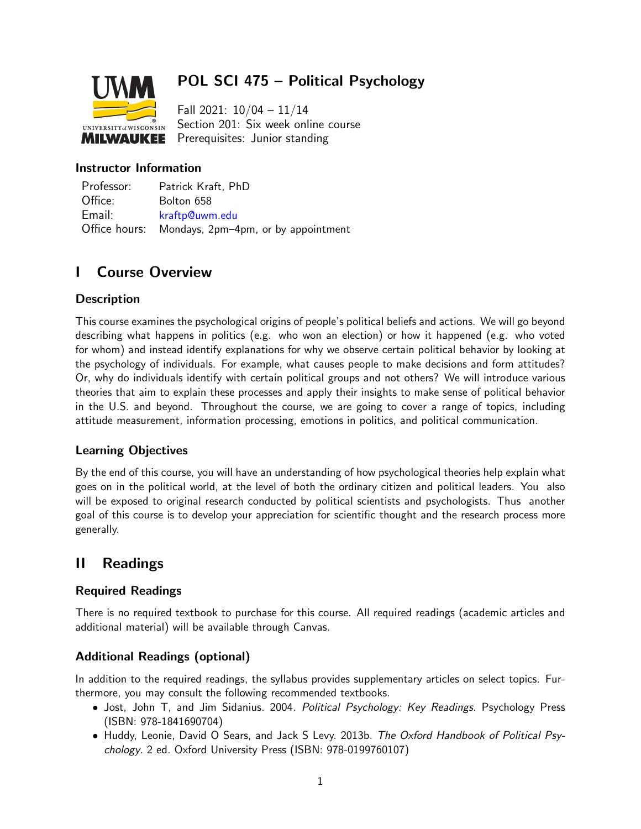

# POL SCI 475 – Political Psychology

Fall 2021: 10/04 – 11/14 Section 201: Six week online course Prerequisites: Junior standing

## Instructor Information

Professor: Patrick Kraft, PhD Office: Bolton 658 Email: [kraftp@uwm.edu](mailto:kraftp@uwm.edu) Office hours: Mondays, 2pm–4pm, or by appointment

## I Course Overview

## **Description**

This course examines the psychological origins of people's political beliefs and actions. We will go beyond describing what happens in politics (e.g. who won an election) or how it happened (e.g. who voted for whom) and instead identify explanations for why we observe certain political behavior by looking at the psychology of individuals. For example, what causes people to make decisions and form attitudes? Or, why do individuals identify with certain political groups and not others? We will introduce various theories that aim to explain these processes and apply their insights to make sense of political behavior in the U.S. and beyond. Throughout the course, we are going to cover a range of topics, including attitude measurement, information processing, emotions in politics, and political communication.

### Learning Objectives

By the end of this course, you will have an understanding of how psychological theories help explain what goes on in the political world, at the level of both the ordinary citizen and political leaders. You also will be exposed to original research conducted by political scientists and psychologists. Thus another goal of this course is to develop your appreciation for scientific thought and the research process more generally.

## II Readings

## Required Readings

There is no required textbook to purchase for this course. All required readings (academic articles and additional material) will be available through Canvas.

## Additional Readings (optional)

In addition to the required readings, the syllabus provides supplementary articles on select topics. Furthermore, you may consult the following recommended textbooks.

- Jost, John T, and Jim Sidanius. 2004. Political Psychology: Key Readings. Psychology Press (ISBN: 978-1841690704)
- Huddy, Leonie, David O Sears, and Jack S Levy. 2013b. The Oxford Handbook of Political Psychology. 2 ed. Oxford University Press (ISBN: 978-0199760107)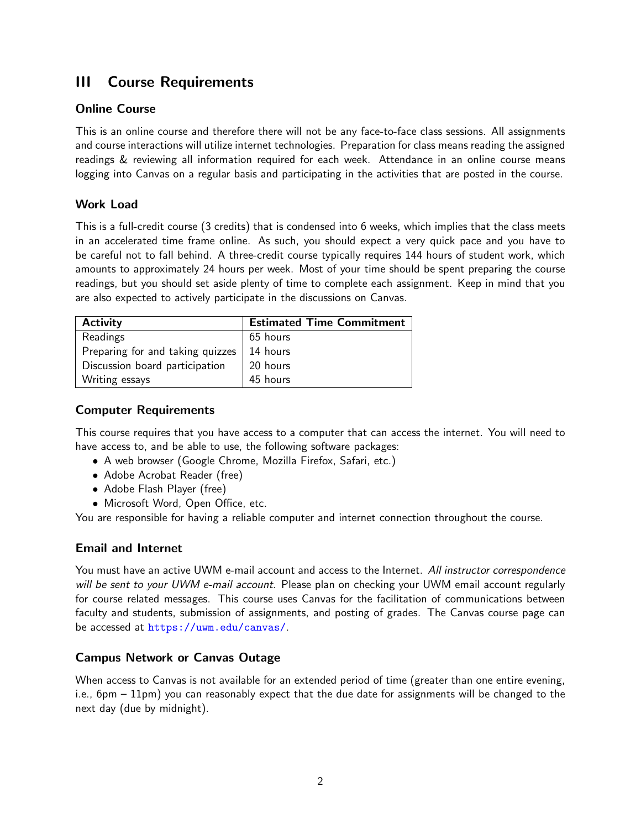## III Course Requirements

## Online Course

This is an online course and therefore there will not be any face-to-face class sessions. All assignments and course interactions will utilize internet technologies. Preparation for class means reading the assigned readings & reviewing all information required for each week. Attendance in an online course means logging into Canvas on a regular basis and participating in the activities that are posted in the course.

## Work Load

This is a full-credit course (3 credits) that is condensed into 6 weeks, which implies that the class meets in an accelerated time frame online. As such, you should expect a very quick pace and you have to be careful not to fall behind. A three-credit course typically requires 144 hours of student work, which amounts to approximately 24 hours per week. Most of your time should be spent preparing the course readings, but you should set aside plenty of time to complete each assignment. Keep in mind that you are also expected to actively participate in the discussions on Canvas.

| <b>Activity</b>                  | <b>Estimated Time Commitment</b> |
|----------------------------------|----------------------------------|
| Readings                         | 65 hours                         |
| Preparing for and taking quizzes | 14 hours                         |
| Discussion board participation   | 20 hours                         |
| Writing essays                   | 45 hours                         |

## Computer Requirements

This course requires that you have access to a computer that can access the internet. You will need to have access to, and be able to use, the following software packages:

- A web browser (Google Chrome, Mozilla Firefox, Safari, etc.)
- Adobe Acrobat Reader (free)
- Adobe Flash Player (free)
- Microsoft Word, Open Office, etc.

You are responsible for having a reliable computer and internet connection throughout the course.

### Email and Internet

You must have an active UWM e-mail account and access to the Internet. All instructor correspondence will be sent to your UWM e-mail account. Please plan on checking your UWM email account regularly for course related messages. This course uses Canvas for the facilitation of communications between faculty and students, submission of assignments, and posting of grades. The Canvas course page can be accessed at <https://uwm.edu/canvas/>.

### Campus Network or Canvas Outage

When access to Canvas is not available for an extended period of time (greater than one entire evening, i.e., 6pm – 11pm) you can reasonably expect that the due date for assignments will be changed to the next day (due by midnight).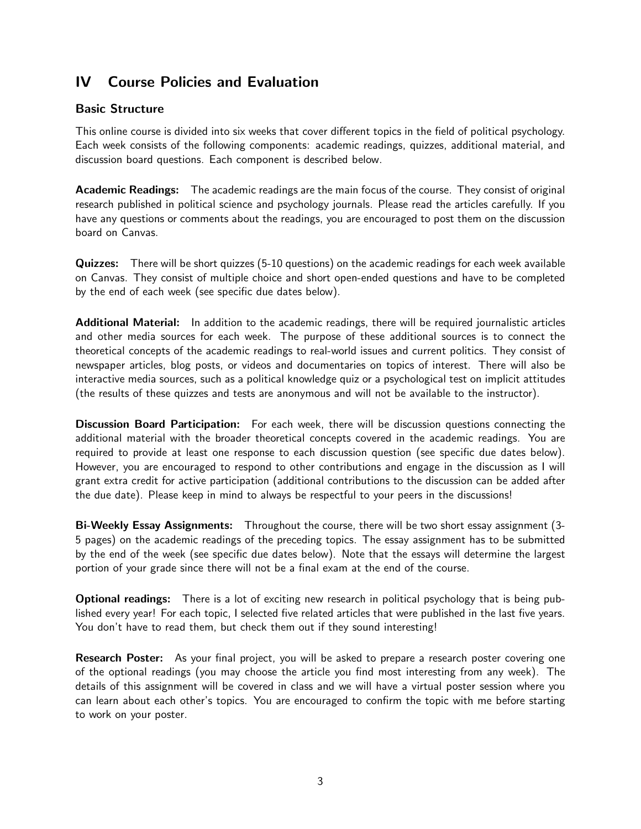## IV Course Policies and Evaluation

## Basic Structure

This online course is divided into six weeks that cover different topics in the field of political psychology. Each week consists of the following components: academic readings, quizzes, additional material, and discussion board questions. Each component is described below.

Academic Readings: The academic readings are the main focus of the course. They consist of original research published in political science and psychology journals. Please read the articles carefully. If you have any questions or comments about the readings, you are encouraged to post them on the discussion board on Canvas.

Quizzes: There will be short quizzes (5-10 questions) on the academic readings for each week available on Canvas. They consist of multiple choice and short open-ended questions and have to be completed by the end of each week (see specific due dates below).

Additional Material: In addition to the academic readings, there will be required journalistic articles and other media sources for each week. The purpose of these additional sources is to connect the theoretical concepts of the academic readings to real-world issues and current politics. They consist of newspaper articles, blog posts, or videos and documentaries on topics of interest. There will also be interactive media sources, such as a political knowledge quiz or a psychological test on implicit attitudes (the results of these quizzes and tests are anonymous and will not be available to the instructor).

Discussion Board Participation: For each week, there will be discussion questions connecting the additional material with the broader theoretical concepts covered in the academic readings. You are required to provide at least one response to each discussion question (see specific due dates below). However, you are encouraged to respond to other contributions and engage in the discussion as I will grant extra credit for active participation (additional contributions to the discussion can be added after the due date). Please keep in mind to always be respectful to your peers in the discussions!

Bi-Weekly Essay Assignments: Throughout the course, there will be two short essay assignment (3- 5 pages) on the academic readings of the preceding topics. The essay assignment has to be submitted by the end of the week (see specific due dates below). Note that the essays will determine the largest portion of your grade since there will not be a final exam at the end of the course.

**Optional readings:** There is a lot of exciting new research in political psychology that is being published every year! For each topic, I selected five related articles that were published in the last five years. You don't have to read them, but check them out if they sound interesting!

Research Poster: As your final project, you will be asked to prepare a research poster covering one of the optional readings (you may choose the article you find most interesting from any week). The details of this assignment will be covered in class and we will have a virtual poster session where you can learn about each other's topics. You are encouraged to confirm the topic with me before starting to work on your poster.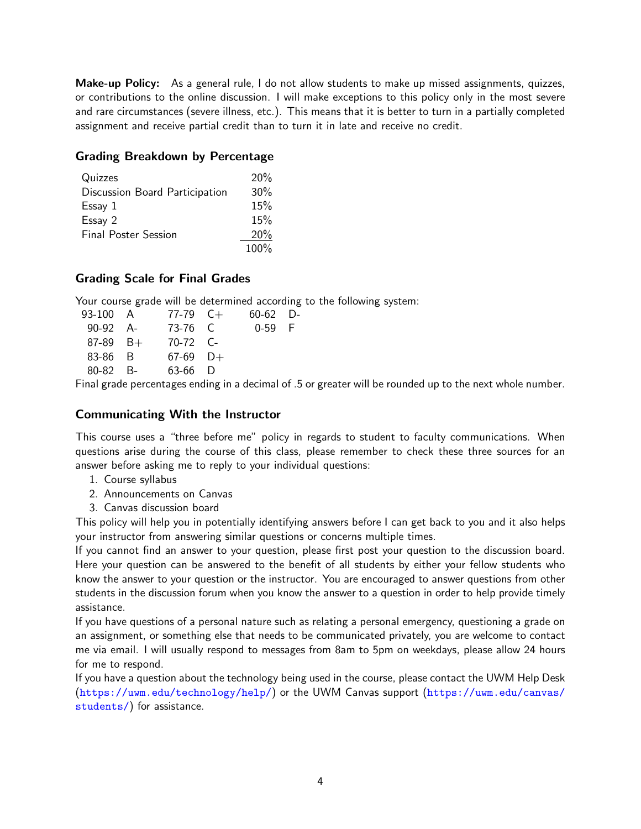Make-up Policy: As a general rule, I do not allow students to make up missed assignments, quizzes, or contributions to the online discussion. I will make exceptions to this policy only in the most severe and rare circumstances (severe illness, etc.). This means that it is better to turn in a partially completed assignment and receive partial credit than to turn it in late and receive no credit.

#### Grading Breakdown by Percentage

| Quizzes                        | 20%  |
|--------------------------------|------|
| Discussion Board Participation | 30%  |
| Essay 1                        | 15%  |
| Essay 2                        | 15%  |
| <b>Final Poster Session</b>    | 20%  |
|                                | 100% |

### Grading Scale for Final Grades

Your course grade will be determined according to the following system:

| 93-100 A     | 77-79 $C+$ | $60-62$ D- |  |
|--------------|------------|------------|--|
| $90-92$ A-   | 73-76 C    | $0-59$ F   |  |
| $87-89$ B+   | $70-72$ C- |            |  |
| 83-86 B      | $67-69$ D+ |            |  |
| $80 - 82$ B- | 63-66 D    |            |  |
|              |            | .          |  |

Final grade percentages ending in a decimal of .5 or greater will be rounded up to the next whole number.

### Communicating With the Instructor

This course uses a "three before me" policy in regards to student to faculty communications. When questions arise during the course of this class, please remember to check these three sources for an answer before asking me to reply to your individual questions:

- 1. Course syllabus
- 2. Announcements on Canvas
- 3. Canvas discussion board

This policy will help you in potentially identifying answers before I can get back to you and it also helps your instructor from answering similar questions or concerns multiple times.

If you cannot find an answer to your question, please first post your question to the discussion board. Here your question can be answered to the benefit of all students by either your fellow students who know the answer to your question or the instructor. You are encouraged to answer questions from other students in the discussion forum when you know the answer to a question in order to help provide timely assistance.

If you have questions of a personal nature such as relating a personal emergency, questioning a grade on an assignment, or something else that needs to be communicated privately, you are welcome to contact me via email. I will usually respond to messages from 8am to 5pm on weekdays, please allow 24 hours for me to respond.

If you have a question about the technology being used in the course, please contact the UWM Help Desk (<https://uwm.edu/technology/help/>) or the UWM Canvas support ([https://uwm.edu/canvas/](https://uwm.edu/canvas/students/) [students/](https://uwm.edu/canvas/students/)) for assistance.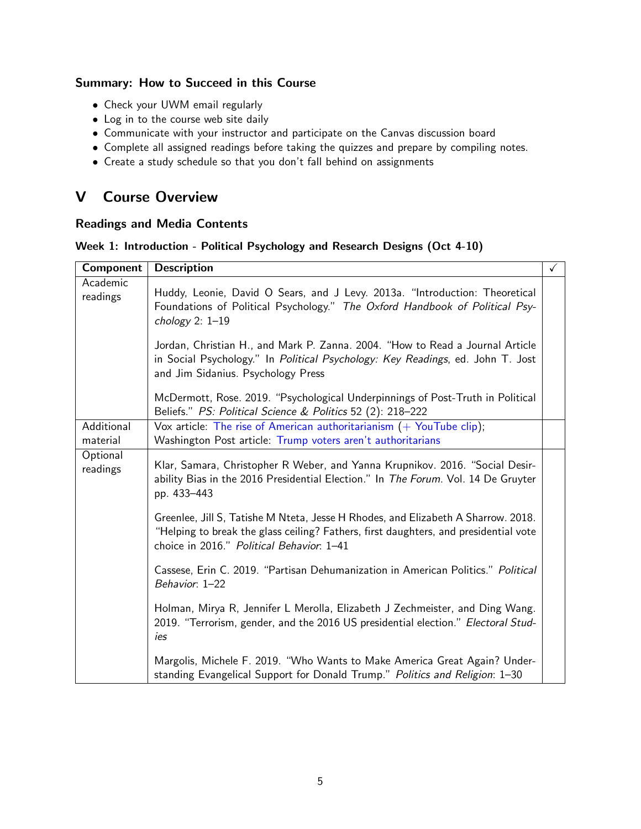## Summary: How to Succeed in this Course

- Check your UWM email regularly
- Log in to the course web site daily
- Communicate with your instructor and participate on the Canvas discussion board
- Complete all assigned readings before taking the quizzes and prepare by compiling notes.
- Create a study schedule so that you don't fall behind on assignments

## V Course Overview

#### Readings and Media Contents

#### Week 1: Introduction - Political Psychology and Research Designs (Oct 4-10)

<span id="page-4-2"></span><span id="page-4-1"></span><span id="page-4-0"></span>

| Component              | <b>Description</b>                                                                                                                                                                                                     | $\checkmark$ |
|------------------------|------------------------------------------------------------------------------------------------------------------------------------------------------------------------------------------------------------------------|--------------|
| Academic<br>readings   | Huddy, Leonie, David O Sears, and J Levy. 2013a. "Introduction: Theoretical<br>Foundations of Political Psychology." The Oxford Handbook of Political Psy-<br>chology $2: 1-19$                                        |              |
|                        | Jordan, Christian H., and Mark P. Zanna. 2004. "How to Read a Journal Article<br>in Social Psychology." In Political Psychology: Key Readings, ed. John T. Jost<br>and Jim Sidanius. Psychology Press                  |              |
|                        | McDermott, Rose. 2019. "Psychological Underpinnings of Post-Truth in Political<br>Beliefs." PS: Political Science & Politics 52 (2): 218-222                                                                           |              |
| Additional<br>material | Vox article: The rise of American authoritarianism $(+)$ YouTube clip);<br>Washington Post article: Trump voters aren't authoritarians                                                                                 |              |
| Optional<br>readings   | Klar, Samara, Christopher R Weber, and Yanna Krupnikov. 2016. "Social Desir-<br>ability Bias in the 2016 Presidential Election." In The Forum. Vol. 14 De Gruyter<br>pp. 433-443                                       |              |
|                        | Greenlee, Jill S, Tatishe M Nteta, Jesse H Rhodes, and Elizabeth A Sharrow. 2018.<br>"Helping to break the glass ceiling? Fathers, first daughters, and presidential vote<br>choice in 2016." Political Behavior. 1-41 |              |
|                        | Cassese, Erin C. 2019. "Partisan Dehumanization in American Politics." Political<br>Behavior: 1-22                                                                                                                     |              |
|                        | Holman, Mirya R, Jennifer L Merolla, Elizabeth J Zechmeister, and Ding Wang.<br>2019. "Terrorism, gender, and the 2016 US presidential election." Electoral Stud-<br>ies                                               |              |
|                        | Margolis, Michele F. 2019. "Who Wants to Make America Great Again? Under-<br>standing Evangelical Support for Donald Trump." Politics and Religion: 1-30                                                               |              |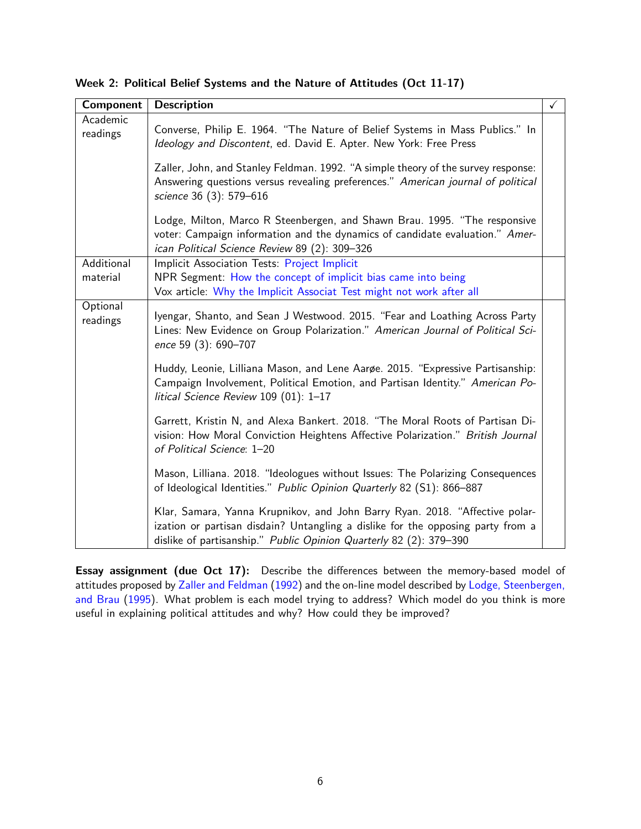<span id="page-5-2"></span><span id="page-5-1"></span><span id="page-5-0"></span>

| Component            | <b>Description</b>                                                                                                                                                                                                                   | $\checkmark$ |
|----------------------|--------------------------------------------------------------------------------------------------------------------------------------------------------------------------------------------------------------------------------------|--------------|
| Academic<br>readings | Converse, Philip E. 1964. "The Nature of Belief Systems in Mass Publics." In<br>Ideology and Discontent, ed. David E. Apter. New York: Free Press                                                                                    |              |
|                      | Zaller, John, and Stanley Feldman. 1992. "A simple theory of the survey response:<br>Answering questions versus revealing preferences." American journal of political<br>science 36 (3): 579-616                                     |              |
|                      | Lodge, Milton, Marco R Steenbergen, and Shawn Brau. 1995. "The responsive<br>voter: Campaign information and the dynamics of candidate evaluation." Amer-<br>ican Political Science Review 89 (2): 309-326                           |              |
| Additional           | Implicit Association Tests: Project Implicit                                                                                                                                                                                         |              |
| material             | NPR Segment: How the concept of implicit bias came into being<br>Vox article: Why the Implicit Associat Test might not work after all                                                                                                |              |
| Optional<br>readings | Iyengar, Shanto, and Sean J Westwood. 2015. "Fear and Loathing Across Party<br>Lines: New Evidence on Group Polarization." American Journal of Political Sci-<br>ence 59 (3): 690-707                                                |              |
|                      | Huddy, Leonie, Lilliana Mason, and Lene Aarge. 2015. "Expressive Partisanship:<br>Campaign Involvement, Political Emotion, and Partisan Identity." American Po-<br>litical Science Review 109 (01): 1-17                             |              |
|                      | Garrett, Kristin N, and Alexa Bankert. 2018. "The Moral Roots of Partisan Di-<br>vision: How Moral Conviction Heightens Affective Polarization." British Journal<br>of Political Science: 1-20                                       |              |
|                      | Mason, Lilliana. 2018. "Ideologues without Issues: The Polarizing Consequences<br>of Ideological Identities." Public Opinion Quarterly 82 (S1): 866-887                                                                              |              |
|                      | Klar, Samara, Yanna Krupnikov, and John Barry Ryan. 2018. "Affective polar-<br>ization or partisan disdain? Untangling a dislike for the opposing party from a<br>dislike of partisanship." Public Opinion Quarterly 82 (2): 379-390 |              |

Week 2: Political Belief Systems and the Nature of Attitudes (Oct 11-17)

Essay assignment (due Oct 17): Describe the differences between the memory-based model of attitudes proposed by [Zaller and Feldman](#page-5-0) [\(1992\)](#page-5-0) and the on-line model described by [Lodge, Steenbergen,](#page-5-1) [and Brau](#page-5-1) [\(1995\)](#page-5-1). What problem is each model trying to address? Which model do you think is more useful in explaining political attitudes and why? How could they be improved?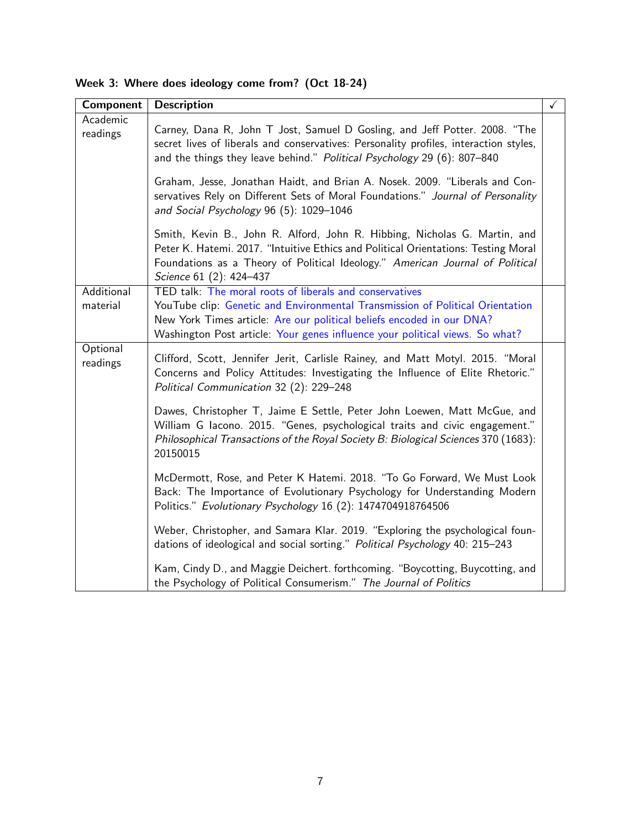<span id="page-6-2"></span><span id="page-6-1"></span><span id="page-6-0"></span>

| Component              | <b>Description</b>                                                                                                                                                                                                                                                                                                                                                                                                                                          | $\checkmark$ |
|------------------------|-------------------------------------------------------------------------------------------------------------------------------------------------------------------------------------------------------------------------------------------------------------------------------------------------------------------------------------------------------------------------------------------------------------------------------------------------------------|--------------|
| Academic<br>readings   | Carney, Dana R, John T Jost, Samuel D Gosling, and Jeff Potter. 2008. "The<br>secret lives of liberals and conservatives: Personality profiles, interaction styles,<br>and the things they leave behind." Political Psychology 29 (6): 807-840<br>Graham, Jesse, Jonathan Haidt, and Brian A. Nosek. 2009. "Liberals and Con-<br>servatives Rely on Different Sets of Moral Foundations." Journal of Personality<br>and Social Psychology 96 (5): 1029-1046 |              |
|                        | Smith, Kevin B., John R. Alford, John R. Hibbing, Nicholas G. Martin, and<br>Peter K. Hatemi. 2017. "Intuitive Ethics and Political Orientations: Testing Moral<br>Foundations as a Theory of Political Ideology." American Journal of Political<br>Science 61 (2): 424-437                                                                                                                                                                                 |              |
| Additional<br>material | TED talk: The moral roots of liberals and conservatives<br>YouTube clip: Genetic and Environmental Transmission of Political Orientation<br>New York Times article: Are our political beliefs encoded in our DNA?<br>Washington Post article: Your genes influence your political views. So what?                                                                                                                                                           |              |
| Optional<br>readings   | Clifford, Scott, Jennifer Jerit, Carlisle Rainey, and Matt Motyl. 2015. "Moral<br>Concerns and Policy Attitudes: Investigating the Influence of Elite Rhetoric."<br>Political Communication 32 (2): 229-248                                                                                                                                                                                                                                                 |              |
|                        | Dawes, Christopher T, Jaime E Settle, Peter John Loewen, Matt McGue, and<br>William G lacono. 2015. "Genes, psychological traits and civic engagement."<br>Philosophical Transactions of the Royal Society B: Biological Sciences 370 (1683):<br>20150015                                                                                                                                                                                                   |              |
|                        | McDermott, Rose, and Peter K Hatemi. 2018. "To Go Forward, We Must Look<br>Back: The Importance of Evolutionary Psychology for Understanding Modern<br>Politics." Evolutionary Psychology 16 (2): 1474704918764506                                                                                                                                                                                                                                          |              |
|                        | Weber, Christopher, and Samara Klar. 2019. "Exploring the psychological foun-<br>dations of ideological and social sorting." Political Psychology 40: 215-243                                                                                                                                                                                                                                                                                               |              |
|                        | Kam, Cindy D., and Maggie Deichert. forthcoming. "Boycotting, Buycotting, and<br>the Psychology of Political Consumerism." The Journal of Politics                                                                                                                                                                                                                                                                                                          |              |

Week 3: Where does ideology come from? (Oct 18-24)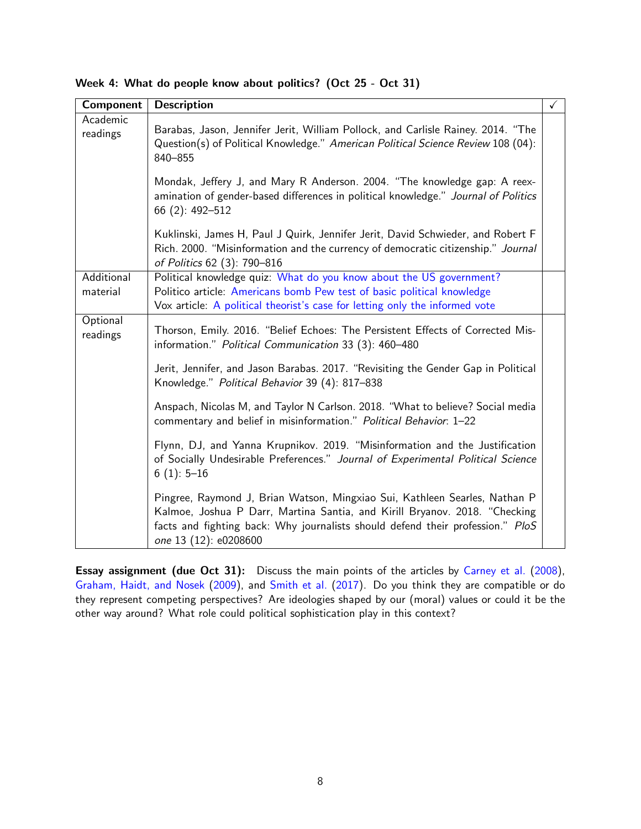<span id="page-7-2"></span><span id="page-7-1"></span><span id="page-7-0"></span>

| Component              | <b>Description</b>                                                                                                                                                                                                                                                  | $\checkmark$ |
|------------------------|---------------------------------------------------------------------------------------------------------------------------------------------------------------------------------------------------------------------------------------------------------------------|--------------|
| Academic<br>readings   | Barabas, Jason, Jennifer Jerit, William Pollock, and Carlisle Rainey. 2014. "The<br>Question(s) of Political Knowledge." American Political Science Review 108 (04):<br>840-855                                                                                     |              |
|                        | Mondak, Jeffery J, and Mary R Anderson. 2004. "The knowledge gap: A reex-<br>amination of gender-based differences in political knowledge." Journal of Politics<br>66 (2): 492-512                                                                                  |              |
|                        | Kuklinski, James H, Paul J Quirk, Jennifer Jerit, David Schwieder, and Robert F<br>Rich. 2000. "Misinformation and the currency of democratic citizenship." Journal<br>of Politics 62 (3): 790-816                                                                  |              |
| Additional<br>material | Political knowledge quiz: What do you know about the US government?<br>Politico article: Americans bomb Pew test of basic political knowledge<br>Vox article: A political theorist's case for letting only the informed vote                                        |              |
| Optional<br>readings   | Thorson, Emily. 2016. "Belief Echoes: The Persistent Effects of Corrected Mis-<br>information." Political Communication 33 (3): 460-480                                                                                                                             |              |
|                        | Jerit, Jennifer, and Jason Barabas. 2017. "Revisiting the Gender Gap in Political<br>Knowledge." Political Behavior 39 (4): 817-838                                                                                                                                 |              |
|                        | Anspach, Nicolas M, and Taylor N Carlson. 2018. "What to believe? Social media<br>commentary and belief in misinformation." Political Behavior: 1-22                                                                                                                |              |
|                        | Flynn, DJ, and Yanna Krupnikov. 2019. "Misinformation and the Justification<br>of Socially Undesirable Preferences." Journal of Experimental Political Science<br>$6(1): 5-16$                                                                                      |              |
|                        | Pingree, Raymond J, Brian Watson, Mingxiao Sui, Kathleen Searles, Nathan P<br>Kalmoe, Joshua P Darr, Martina Santia, and Kirill Bryanov. 2018. "Checking<br>facts and fighting back: Why journalists should defend their profession." PloS<br>one 13 (12): e0208600 |              |

Week 4: What do people know about politics? (Oct 25 - Oct 31)

Essay assignment (due Oct 31): Discuss the main points of the articles by [Carney et al.](#page-6-0) [\(2008\)](#page-6-0), [Graham, Haidt, and Nosek](#page-6-1) [\(2009\)](#page-6-1), and [Smith et al.](#page-6-2) [\(2017\)](#page-6-2). Do you think they are compatible or do they represent competing perspectives? Are ideologies shaped by our (moral) values or could it be the other way around? What role could political sophistication play in this context?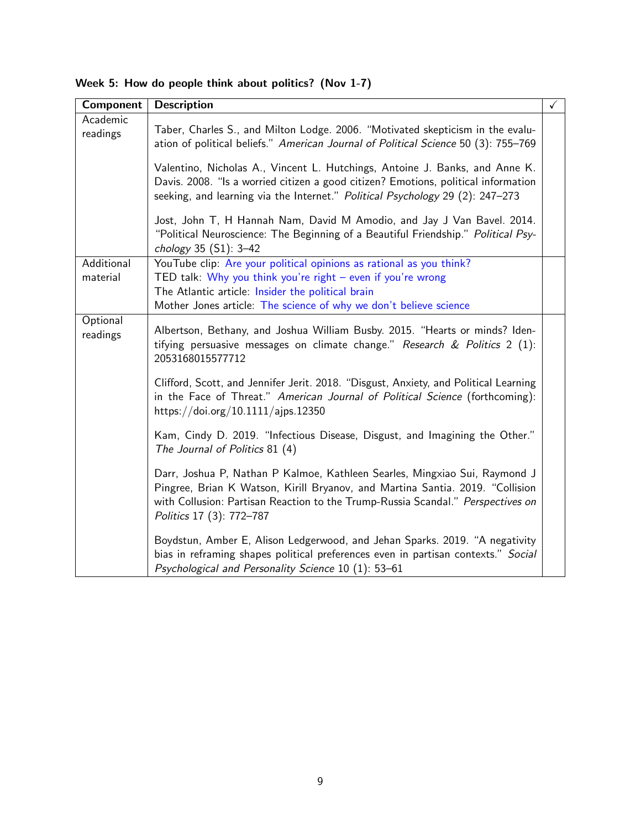<span id="page-8-2"></span><span id="page-8-1"></span><span id="page-8-0"></span>

| Component              | <b>Description</b>                                                                                                                                                                                                                                                         | $\checkmark$ |
|------------------------|----------------------------------------------------------------------------------------------------------------------------------------------------------------------------------------------------------------------------------------------------------------------------|--------------|
| Academic<br>readings   | Taber, Charles S., and Milton Lodge. 2006. "Motivated skepticism in the evalu-<br>ation of political beliefs." American Journal of Political Science 50 (3): 755-769                                                                                                       |              |
|                        | Valentino, Nicholas A., Vincent L. Hutchings, Antoine J. Banks, and Anne K.<br>Davis. 2008. "Is a worried citizen a good citizen? Emotions, political information<br>seeking, and learning via the Internet." Political Psychology 29 (2): 247-273                         |              |
|                        | Jost, John T, H Hannah Nam, David M Amodio, and Jay J Van Bavel. 2014.<br>"Political Neuroscience: The Beginning of a Beautiful Friendship." Political Psy-<br>chology 35 (S1): 3-42                                                                                       |              |
| Additional<br>material | YouTube clip: Are your political opinions as rational as you think?<br>TED talk: Why you think you're right - even if you're wrong<br>The Atlantic article: Insider the political brain<br>Mother Jones article: The science of why we don't believe science               |              |
| Optional<br>readings   | Albertson, Bethany, and Joshua William Busby. 2015. "Hearts or minds? Iden-<br>tifying persuasive messages on climate change." Research & Politics 2 (1):<br>2053168015577712                                                                                              |              |
|                        | Clifford, Scott, and Jennifer Jerit. 2018. "Disgust, Anxiety, and Political Learning<br>in the Face of Threat." American Journal of Political Science (forthcoming):<br>https://doi.org/10.1111/ajps.12350                                                                 |              |
|                        | Kam, Cindy D. 2019. "Infectious Disease, Disgust, and Imagining the Other."<br>The Journal of Politics 81 (4)                                                                                                                                                              |              |
|                        | Darr, Joshua P, Nathan P Kalmoe, Kathleen Searles, Mingxiao Sui, Raymond J<br>Pingree, Brian K Watson, Kirill Bryanov, and Martina Santia. 2019. "Collision<br>with Collusion: Partisan Reaction to the Trump-Russia Scandal." Perspectives on<br>Politics 17 (3): 772-787 |              |
|                        | Boydstun, Amber E, Alison Ledgerwood, and Jehan Sparks. 2019. "A negativity<br>bias in reframing shapes political preferences even in partisan contexts." Social<br>Psychological and Personality Science 10 (1): 53-61                                                    |              |

Week 5: How do people think about politics? (Nov 1-7)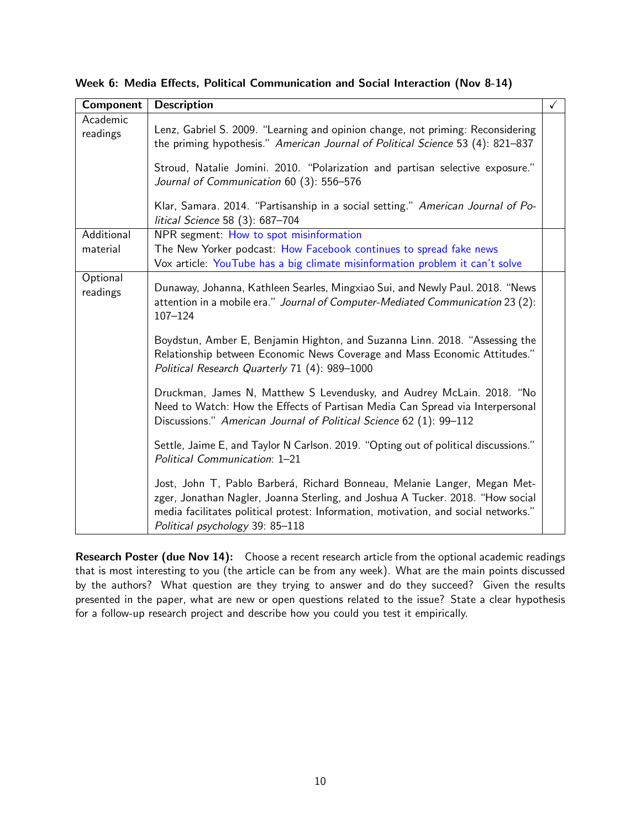<span id="page-9-2"></span><span id="page-9-1"></span><span id="page-9-0"></span>

| Component            | <b>Description</b>                                                                                                                                                                                                                                                                   | $\checkmark$ |
|----------------------|--------------------------------------------------------------------------------------------------------------------------------------------------------------------------------------------------------------------------------------------------------------------------------------|--------------|
| Academic<br>readings | Lenz, Gabriel S. 2009. "Learning and opinion change, not priming: Reconsidering<br>the priming hypothesis." American Journal of Political Science 53 (4): 821-837                                                                                                                    |              |
|                      | Stroud, Natalie Jomini. 2010. "Polarization and partisan selective exposure."<br>Journal of Communication 60 (3): 556-576                                                                                                                                                            |              |
|                      | Klar, Samara. 2014. "Partisanship in a social setting." American Journal of Po-<br>litical Science 58 (3): 687-704                                                                                                                                                                   |              |
| Additional           | NPR segment: How to spot misinformation                                                                                                                                                                                                                                              |              |
| material             | The New Yorker podcast: How Facebook continues to spread fake news<br>Vox article: YouTube has a big climate misinformation problem it can't solve                                                                                                                                   |              |
| Optional<br>readings | Dunaway, Johanna, Kathleen Searles, Mingxiao Sui, and Newly Paul. 2018. "News<br>attention in a mobile era." Journal of Computer-Mediated Communication 23 (2):<br>$107 - 124$                                                                                                       |              |
|                      | Boydstun, Amber E, Benjamin Highton, and Suzanna Linn. 2018. "Assessing the<br>Relationship between Economic News Coverage and Mass Economic Attitudes."<br>Political Research Quarterly 71 (4): 989-1000                                                                            |              |
|                      | Druckman, James N, Matthew S Levendusky, and Audrey McLain. 2018. "No<br>Need to Watch: How the Effects of Partisan Media Can Spread via Interpersonal<br>Discussions." American Journal of Political Science 62 (1): 99-112                                                         |              |
|                      | Settle, Jaime E, and Taylor N Carlson. 2019. "Opting out of political discussions."<br>Political Communication: 1-21                                                                                                                                                                 |              |
|                      | Jost, John T, Pablo Barberá, Richard Bonneau, Melanie Langer, Megan Met-<br>zger, Jonathan Nagler, Joanna Sterling, and Joshua A Tucker. 2018. "How social<br>media facilitates political protest: Information, motivation, and social networks."<br>Political psychology 39: 85-118 |              |

Week 6: Media Effects, Political Communication and Social Interaction (Nov 8-14)

Research Poster (due Nov 14): Choose a recent research article from the optional academic readings that is most interesting to you (the article can be from any week). What are the main points discussed by the authors? What question are they trying to answer and do they succeed? Given the results presented in the paper, what are new or open questions related to the issue? State a clear hypothesis for a follow-up research project and describe how you could you test it empirically.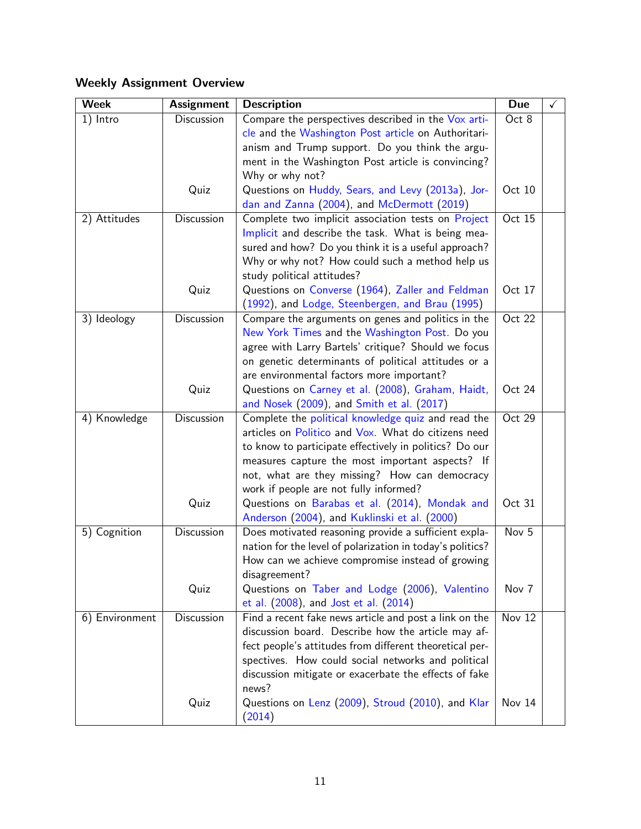## Weekly Assignment Overview

| <b>Assignment</b> | <b>Description</b>                                                                                         | <b>Due</b>                                                                                                                                                                                                                                                                                                                                                                                                                                                                                                                                                                                                                                                                                                                                                                                                                                                                                                                                                                                                                                                                                                                                                                                                                                                                                                                                                                                                                                                                                                                                                                                                                                                                                                                                                                                                                                                                                                      | ✓                                                                                              |
|-------------------|------------------------------------------------------------------------------------------------------------|-----------------------------------------------------------------------------------------------------------------------------------------------------------------------------------------------------------------------------------------------------------------------------------------------------------------------------------------------------------------------------------------------------------------------------------------------------------------------------------------------------------------------------------------------------------------------------------------------------------------------------------------------------------------------------------------------------------------------------------------------------------------------------------------------------------------------------------------------------------------------------------------------------------------------------------------------------------------------------------------------------------------------------------------------------------------------------------------------------------------------------------------------------------------------------------------------------------------------------------------------------------------------------------------------------------------------------------------------------------------------------------------------------------------------------------------------------------------------------------------------------------------------------------------------------------------------------------------------------------------------------------------------------------------------------------------------------------------------------------------------------------------------------------------------------------------------------------------------------------------------------------------------------------------|------------------------------------------------------------------------------------------------|
| Discussion        | Compare the perspectives described in the Vox arti-                                                        | Oct 8                                                                                                                                                                                                                                                                                                                                                                                                                                                                                                                                                                                                                                                                                                                                                                                                                                                                                                                                                                                                                                                                                                                                                                                                                                                                                                                                                                                                                                                                                                                                                                                                                                                                                                                                                                                                                                                                                                           |                                                                                                |
|                   | cle and the Washington Post article on Authoritari-                                                        |                                                                                                                                                                                                                                                                                                                                                                                                                                                                                                                                                                                                                                                                                                                                                                                                                                                                                                                                                                                                                                                                                                                                                                                                                                                                                                                                                                                                                                                                                                                                                                                                                                                                                                                                                                                                                                                                                                                 |                                                                                                |
|                   | anism and Trump support. Do you think the argu-                                                            |                                                                                                                                                                                                                                                                                                                                                                                                                                                                                                                                                                                                                                                                                                                                                                                                                                                                                                                                                                                                                                                                                                                                                                                                                                                                                                                                                                                                                                                                                                                                                                                                                                                                                                                                                                                                                                                                                                                 |                                                                                                |
|                   |                                                                                                            |                                                                                                                                                                                                                                                                                                                                                                                                                                                                                                                                                                                                                                                                                                                                                                                                                                                                                                                                                                                                                                                                                                                                                                                                                                                                                                                                                                                                                                                                                                                                                                                                                                                                                                                                                                                                                                                                                                                 |                                                                                                |
|                   | Why or why not?                                                                                            |                                                                                                                                                                                                                                                                                                                                                                                                                                                                                                                                                                                                                                                                                                                                                                                                                                                                                                                                                                                                                                                                                                                                                                                                                                                                                                                                                                                                                                                                                                                                                                                                                                                                                                                                                                                                                                                                                                                 |                                                                                                |
| Quiz              | Questions on Huddy, Sears, and Levy (2013a), Jor-                                                          | Oct 10                                                                                                                                                                                                                                                                                                                                                                                                                                                                                                                                                                                                                                                                                                                                                                                                                                                                                                                                                                                                                                                                                                                                                                                                                                                                                                                                                                                                                                                                                                                                                                                                                                                                                                                                                                                                                                                                                                          |                                                                                                |
|                   |                                                                                                            |                                                                                                                                                                                                                                                                                                                                                                                                                                                                                                                                                                                                                                                                                                                                                                                                                                                                                                                                                                                                                                                                                                                                                                                                                                                                                                                                                                                                                                                                                                                                                                                                                                                                                                                                                                                                                                                                                                                 |                                                                                                |
|                   |                                                                                                            |                                                                                                                                                                                                                                                                                                                                                                                                                                                                                                                                                                                                                                                                                                                                                                                                                                                                                                                                                                                                                                                                                                                                                                                                                                                                                                                                                                                                                                                                                                                                                                                                                                                                                                                                                                                                                                                                                                                 |                                                                                                |
|                   |                                                                                                            |                                                                                                                                                                                                                                                                                                                                                                                                                                                                                                                                                                                                                                                                                                                                                                                                                                                                                                                                                                                                                                                                                                                                                                                                                                                                                                                                                                                                                                                                                                                                                                                                                                                                                                                                                                                                                                                                                                                 |                                                                                                |
|                   |                                                                                                            |                                                                                                                                                                                                                                                                                                                                                                                                                                                                                                                                                                                                                                                                                                                                                                                                                                                                                                                                                                                                                                                                                                                                                                                                                                                                                                                                                                                                                                                                                                                                                                                                                                                                                                                                                                                                                                                                                                                 |                                                                                                |
|                   |                                                                                                            |                                                                                                                                                                                                                                                                                                                                                                                                                                                                                                                                                                                                                                                                                                                                                                                                                                                                                                                                                                                                                                                                                                                                                                                                                                                                                                                                                                                                                                                                                                                                                                                                                                                                                                                                                                                                                                                                                                                 |                                                                                                |
|                   |                                                                                                            |                                                                                                                                                                                                                                                                                                                                                                                                                                                                                                                                                                                                                                                                                                                                                                                                                                                                                                                                                                                                                                                                                                                                                                                                                                                                                                                                                                                                                                                                                                                                                                                                                                                                                                                                                                                                                                                                                                                 |                                                                                                |
|                   |                                                                                                            |                                                                                                                                                                                                                                                                                                                                                                                                                                                                                                                                                                                                                                                                                                                                                                                                                                                                                                                                                                                                                                                                                                                                                                                                                                                                                                                                                                                                                                                                                                                                                                                                                                                                                                                                                                                                                                                                                                                 |                                                                                                |
|                   |                                                                                                            |                                                                                                                                                                                                                                                                                                                                                                                                                                                                                                                                                                                                                                                                                                                                                                                                                                                                                                                                                                                                                                                                                                                                                                                                                                                                                                                                                                                                                                                                                                                                                                                                                                                                                                                                                                                                                                                                                                                 |                                                                                                |
|                   |                                                                                                            |                                                                                                                                                                                                                                                                                                                                                                                                                                                                                                                                                                                                                                                                                                                                                                                                                                                                                                                                                                                                                                                                                                                                                                                                                                                                                                                                                                                                                                                                                                                                                                                                                                                                                                                                                                                                                                                                                                                 |                                                                                                |
|                   |                                                                                                            |                                                                                                                                                                                                                                                                                                                                                                                                                                                                                                                                                                                                                                                                                                                                                                                                                                                                                                                                                                                                                                                                                                                                                                                                                                                                                                                                                                                                                                                                                                                                                                                                                                                                                                                                                                                                                                                                                                                 |                                                                                                |
|                   |                                                                                                            |                                                                                                                                                                                                                                                                                                                                                                                                                                                                                                                                                                                                                                                                                                                                                                                                                                                                                                                                                                                                                                                                                                                                                                                                                                                                                                                                                                                                                                                                                                                                                                                                                                                                                                                                                                                                                                                                                                                 |                                                                                                |
|                   |                                                                                                            |                                                                                                                                                                                                                                                                                                                                                                                                                                                                                                                                                                                                                                                                                                                                                                                                                                                                                                                                                                                                                                                                                                                                                                                                                                                                                                                                                                                                                                                                                                                                                                                                                                                                                                                                                                                                                                                                                                                 |                                                                                                |
|                   |                                                                                                            |                                                                                                                                                                                                                                                                                                                                                                                                                                                                                                                                                                                                                                                                                                                                                                                                                                                                                                                                                                                                                                                                                                                                                                                                                                                                                                                                                                                                                                                                                                                                                                                                                                                                                                                                                                                                                                                                                                                 |                                                                                                |
|                   |                                                                                                            |                                                                                                                                                                                                                                                                                                                                                                                                                                                                                                                                                                                                                                                                                                                                                                                                                                                                                                                                                                                                                                                                                                                                                                                                                                                                                                                                                                                                                                                                                                                                                                                                                                                                                                                                                                                                                                                                                                                 |                                                                                                |
|                   |                                                                                                            |                                                                                                                                                                                                                                                                                                                                                                                                                                                                                                                                                                                                                                                                                                                                                                                                                                                                                                                                                                                                                                                                                                                                                                                                                                                                                                                                                                                                                                                                                                                                                                                                                                                                                                                                                                                                                                                                                                                 |                                                                                                |
|                   |                                                                                                            |                                                                                                                                                                                                                                                                                                                                                                                                                                                                                                                                                                                                                                                                                                                                                                                                                                                                                                                                                                                                                                                                                                                                                                                                                                                                                                                                                                                                                                                                                                                                                                                                                                                                                                                                                                                                                                                                                                                 |                                                                                                |
|                   |                                                                                                            |                                                                                                                                                                                                                                                                                                                                                                                                                                                                                                                                                                                                                                                                                                                                                                                                                                                                                                                                                                                                                                                                                                                                                                                                                                                                                                                                                                                                                                                                                                                                                                                                                                                                                                                                                                                                                                                                                                                 |                                                                                                |
|                   |                                                                                                            |                                                                                                                                                                                                                                                                                                                                                                                                                                                                                                                                                                                                                                                                                                                                                                                                                                                                                                                                                                                                                                                                                                                                                                                                                                                                                                                                                                                                                                                                                                                                                                                                                                                                                                                                                                                                                                                                                                                 |                                                                                                |
|                   |                                                                                                            |                                                                                                                                                                                                                                                                                                                                                                                                                                                                                                                                                                                                                                                                                                                                                                                                                                                                                                                                                                                                                                                                                                                                                                                                                                                                                                                                                                                                                                                                                                                                                                                                                                                                                                                                                                                                                                                                                                                 |                                                                                                |
|                   |                                                                                                            |                                                                                                                                                                                                                                                                                                                                                                                                                                                                                                                                                                                                                                                                                                                                                                                                                                                                                                                                                                                                                                                                                                                                                                                                                                                                                                                                                                                                                                                                                                                                                                                                                                                                                                                                                                                                                                                                                                                 |                                                                                                |
|                   |                                                                                                            |                                                                                                                                                                                                                                                                                                                                                                                                                                                                                                                                                                                                                                                                                                                                                                                                                                                                                                                                                                                                                                                                                                                                                                                                                                                                                                                                                                                                                                                                                                                                                                                                                                                                                                                                                                                                                                                                                                                 |                                                                                                |
|                   |                                                                                                            |                                                                                                                                                                                                                                                                                                                                                                                                                                                                                                                                                                                                                                                                                                                                                                                                                                                                                                                                                                                                                                                                                                                                                                                                                                                                                                                                                                                                                                                                                                                                                                                                                                                                                                                                                                                                                                                                                                                 |                                                                                                |
|                   |                                                                                                            |                                                                                                                                                                                                                                                                                                                                                                                                                                                                                                                                                                                                                                                                                                                                                                                                                                                                                                                                                                                                                                                                                                                                                                                                                                                                                                                                                                                                                                                                                                                                                                                                                                                                                                                                                                                                                                                                                                                 |                                                                                                |
|                   |                                                                                                            |                                                                                                                                                                                                                                                                                                                                                                                                                                                                                                                                                                                                                                                                                                                                                                                                                                                                                                                                                                                                                                                                                                                                                                                                                                                                                                                                                                                                                                                                                                                                                                                                                                                                                                                                                                                                                                                                                                                 |                                                                                                |
|                   |                                                                                                            |                                                                                                                                                                                                                                                                                                                                                                                                                                                                                                                                                                                                                                                                                                                                                                                                                                                                                                                                                                                                                                                                                                                                                                                                                                                                                                                                                                                                                                                                                                                                                                                                                                                                                                                                                                                                                                                                                                                 |                                                                                                |
|                   |                                                                                                            |                                                                                                                                                                                                                                                                                                                                                                                                                                                                                                                                                                                                                                                                                                                                                                                                                                                                                                                                                                                                                                                                                                                                                                                                                                                                                                                                                                                                                                                                                                                                                                                                                                                                                                                                                                                                                                                                                                                 |                                                                                                |
|                   |                                                                                                            |                                                                                                                                                                                                                                                                                                                                                                                                                                                                                                                                                                                                                                                                                                                                                                                                                                                                                                                                                                                                                                                                                                                                                                                                                                                                                                                                                                                                                                                                                                                                                                                                                                                                                                                                                                                                                                                                                                                 |                                                                                                |
|                   |                                                                                                            |                                                                                                                                                                                                                                                                                                                                                                                                                                                                                                                                                                                                                                                                                                                                                                                                                                                                                                                                                                                                                                                                                                                                                                                                                                                                                                                                                                                                                                                                                                                                                                                                                                                                                                                                                                                                                                                                                                                 |                                                                                                |
|                   |                                                                                                            |                                                                                                                                                                                                                                                                                                                                                                                                                                                                                                                                                                                                                                                                                                                                                                                                                                                                                                                                                                                                                                                                                                                                                                                                                                                                                                                                                                                                                                                                                                                                                                                                                                                                                                                                                                                                                                                                                                                 |                                                                                                |
|                   |                                                                                                            |                                                                                                                                                                                                                                                                                                                                                                                                                                                                                                                                                                                                                                                                                                                                                                                                                                                                                                                                                                                                                                                                                                                                                                                                                                                                                                                                                                                                                                                                                                                                                                                                                                                                                                                                                                                                                                                                                                                 |                                                                                                |
|                   |                                                                                                            |                                                                                                                                                                                                                                                                                                                                                                                                                                                                                                                                                                                                                                                                                                                                                                                                                                                                                                                                                                                                                                                                                                                                                                                                                                                                                                                                                                                                                                                                                                                                                                                                                                                                                                                                                                                                                                                                                                                 |                                                                                                |
|                   |                                                                                                            |                                                                                                                                                                                                                                                                                                                                                                                                                                                                                                                                                                                                                                                                                                                                                                                                                                                                                                                                                                                                                                                                                                                                                                                                                                                                                                                                                                                                                                                                                                                                                                                                                                                                                                                                                                                                                                                                                                                 |                                                                                                |
|                   |                                                                                                            |                                                                                                                                                                                                                                                                                                                                                                                                                                                                                                                                                                                                                                                                                                                                                                                                                                                                                                                                                                                                                                                                                                                                                                                                                                                                                                                                                                                                                                                                                                                                                                                                                                                                                                                                                                                                                                                                                                                 |                                                                                                |
|                   |                                                                                                            |                                                                                                                                                                                                                                                                                                                                                                                                                                                                                                                                                                                                                                                                                                                                                                                                                                                                                                                                                                                                                                                                                                                                                                                                                                                                                                                                                                                                                                                                                                                                                                                                                                                                                                                                                                                                                                                                                                                 |                                                                                                |
|                   |                                                                                                            |                                                                                                                                                                                                                                                                                                                                                                                                                                                                                                                                                                                                                                                                                                                                                                                                                                                                                                                                                                                                                                                                                                                                                                                                                                                                                                                                                                                                                                                                                                                                                                                                                                                                                                                                                                                                                                                                                                                 |                                                                                                |
|                   |                                                                                                            |                                                                                                                                                                                                                                                                                                                                                                                                                                                                                                                                                                                                                                                                                                                                                                                                                                                                                                                                                                                                                                                                                                                                                                                                                                                                                                                                                                                                                                                                                                                                                                                                                                                                                                                                                                                                                                                                                                                 |                                                                                                |
|                   | Discussion<br>Quiz<br>Discussion<br>Quiz<br>Discussion<br>Quiz<br>Discussion<br>Quiz<br>Discussion<br>Quiz | ment in the Washington Post article is convincing?<br>dan and Zanna (2004), and McDermott (2019)<br>Complete two implicit association tests on Project<br>Implicit and describe the task. What is being mea-<br>sured and how? Do you think it is a useful approach?<br>Why or why not? How could such a method help us<br>study political attitudes?<br>Questions on Converse (1964), Zaller and Feldman<br>(1992), and Lodge, Steenbergen, and Brau (1995)<br>Compare the arguments on genes and politics in the<br>New York Times and the Washington Post. Do you<br>agree with Larry Bartels' critique? Should we focus<br>on genetic determinants of political attitudes or a<br>are environmental factors more important?<br>Questions on Carney et al. (2008), Graham, Haidt,<br>and Nosek (2009), and Smith et al. (2017)<br>Complete the political knowledge quiz and read the<br>articles on Politico and Vox. What do citizens need<br>to know to participate effectively in politics? Do our<br>measures capture the most important aspects? If<br>not, what are they missing? How can democracy<br>work if people are not fully informed?<br>Questions on Barabas et al. (2014), Mondak and<br>Anderson (2004), and Kuklinski et al. (2000)<br>Does motivated reasoning provide a sufficient expla-<br>nation for the level of polarization in today's politics?<br>How can we achieve compromise instead of growing<br>disagreement?<br>Questions on Taber and Lodge (2006), Valentino<br>et al. (2008), and Jost et al. (2014)<br>Find a recent fake news article and post a link on the<br>discussion board. Describe how the article may af-<br>fect people's attitudes from different theoretical per-<br>spectives. How could social networks and political<br>discussion mitigate or exacerbate the effects of fake<br>news?<br>Questions on Lenz (2009), Stroud (2010), and Klar<br>(2014) | Oct 15<br>Oct 17<br>Oct 22<br>Oct 24<br>Oct 29<br>Oct 31<br>Nov 5<br>Nov 7<br>Nov 12<br>Nov 14 |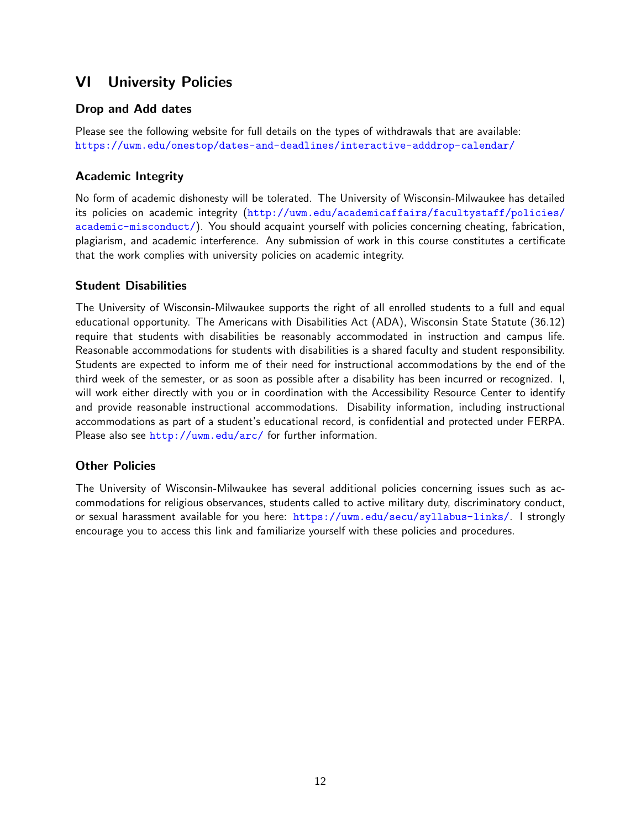## VI University Policies

## Drop and Add dates

Please see the following website for full details on the types of withdrawals that are available: <https://uwm.edu/onestop/dates-and-deadlines/interactive-adddrop-calendar/>

## Academic Integrity

No form of academic dishonesty will be tolerated. The University of Wisconsin-Milwaukee has detailed its policies on academic integrity ([http://uwm.edu/academicaffairs/facultystaff/policies/](http://uwm.edu/academicaffairs/facultystaff/policies/academic-misconduct/) [academic-misconduct/](http://uwm.edu/academicaffairs/facultystaff/policies/academic-misconduct/)). You should acquaint yourself with policies concerning cheating, fabrication, plagiarism, and academic interference. Any submission of work in this course constitutes a certificate that the work complies with university policies on academic integrity.

## Student Disabilities

The University of Wisconsin-Milwaukee supports the right of all enrolled students to a full and equal educational opportunity. The Americans with Disabilities Act (ADA), Wisconsin State Statute (36.12) require that students with disabilities be reasonably accommodated in instruction and campus life. Reasonable accommodations for students with disabilities is a shared faculty and student responsibility. Students are expected to inform me of their need for instructional accommodations by the end of the third week of the semester, or as soon as possible after a disability has been incurred or recognized. I, will work either directly with you or in coordination with the Accessibility Resource Center to identify and provide reasonable instructional accommodations. Disability information, including instructional accommodations as part of a student's educational record, is confidential and protected under FERPA. Please also see <http://uwm.edu/arc/> for further information.

## Other Policies

The University of Wisconsin-Milwaukee has several additional policies concerning issues such as accommodations for religious observances, students called to active military duty, discriminatory conduct, or sexual harassment available for you here: <https://uwm.edu/secu/syllabus-links/>. I strongly encourage you to access this link and familiarize yourself with these policies and procedures.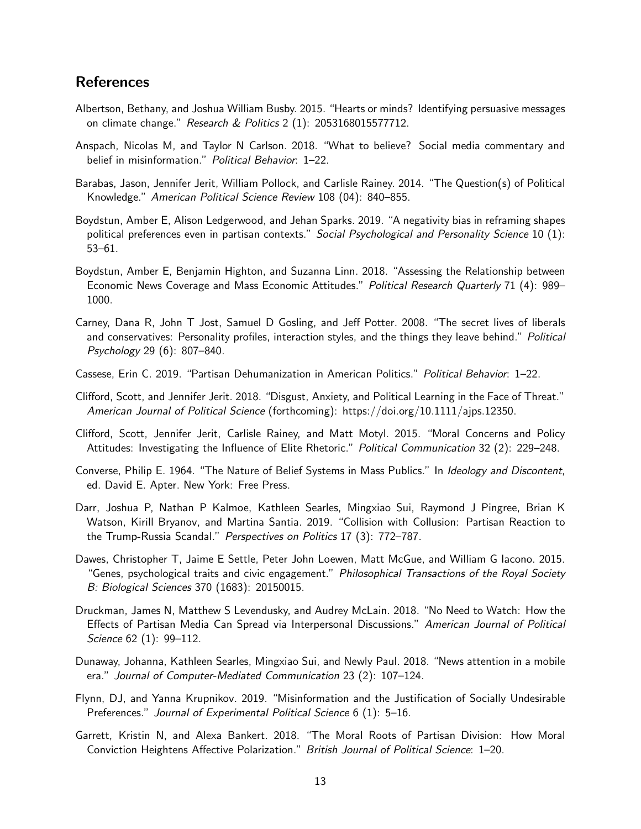## References

- Albertson, Bethany, and Joshua William Busby. 2015. "Hearts or minds? Identifying persuasive messages on climate change." Research & Politics 2 (1): 2053168015577712.
- Anspach, Nicolas M, and Taylor N Carlson. 2018. "What to believe? Social media commentary and belief in misinformation." Political Behavior: 1-22.
- Barabas, Jason, Jennifer Jerit, William Pollock, and Carlisle Rainey. 2014. "The Question(s) of Political Knowledge." American Political Science Review 108 (04): 840–855.
- Boydstun, Amber E, Alison Ledgerwood, and Jehan Sparks. 2019. "A negativity bias in reframing shapes political preferences even in partisan contexts." Social Psychological and Personality Science 10 (1): 53–61.
- Boydstun, Amber E, Benjamin Highton, and Suzanna Linn. 2018. "Assessing the Relationship between Economic News Coverage and Mass Economic Attitudes." Political Research Quarterly 71 (4): 989– 1000.
- Carney, Dana R, John T Jost, Samuel D Gosling, and Jeff Potter. 2008. "The secret lives of liberals and conservatives: Personality profiles, interaction styles, and the things they leave behind." Political Psychology 29 (6): 807–840.
- Cassese, Erin C. 2019. "Partisan Dehumanization in American Politics." Political Behavior: 1–22.
- Clifford, Scott, and Jennifer Jerit. 2018. "Disgust, Anxiety, and Political Learning in the Face of Threat." American Journal of Political Science (forthcoming): https://doi.org/10.1111/ajps.12350.
- Clifford, Scott, Jennifer Jerit, Carlisle Rainey, and Matt Motyl. 2015. "Moral Concerns and Policy Attitudes: Investigating the Influence of Elite Rhetoric." Political Communication 32 (2): 229-248.
- Converse, Philip E. 1964. "The Nature of Belief Systems in Mass Publics." In Ideology and Discontent, ed. David E. Apter. New York: Free Press.
- Darr, Joshua P, Nathan P Kalmoe, Kathleen Searles, Mingxiao Sui, Raymond J Pingree, Brian K Watson, Kirill Bryanov, and Martina Santia. 2019. "Collision with Collusion: Partisan Reaction to the Trump-Russia Scandal." Perspectives on Politics 17 (3): 772–787.
- Dawes, Christopher T, Jaime E Settle, Peter John Loewen, Matt McGue, and William G Iacono. 2015. "Genes, psychological traits and civic engagement." Philosophical Transactions of the Royal Society B: Biological Sciences 370 (1683): 20150015.
- Druckman, James N, Matthew S Levendusky, and Audrey McLain. 2018. "No Need to Watch: How the Effects of Partisan Media Can Spread via Interpersonal Discussions." American Journal of Political Science 62 (1): 99–112.
- Dunaway, Johanna, Kathleen Searles, Mingxiao Sui, and Newly Paul. 2018. "News attention in a mobile era." Journal of Computer-Mediated Communication 23 (2): 107–124.
- Flynn, DJ, and Yanna Krupnikov. 2019. "Misinformation and the Justification of Socially Undesirable Preferences." Journal of Experimental Political Science 6 (1): 5-16.
- Garrett, Kristin N, and Alexa Bankert. 2018. "The Moral Roots of Partisan Division: How Moral Conviction Heightens Affective Polarization." British Journal of Political Science: 1–20.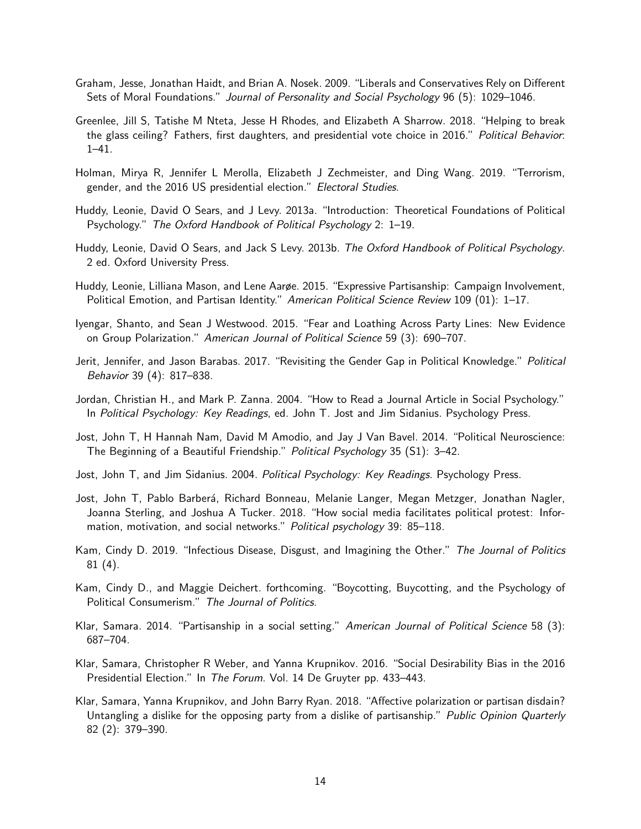- Graham, Jesse, Jonathan Haidt, and Brian A. Nosek. 2009. "Liberals and Conservatives Rely on Different Sets of Moral Foundations." Journal of Personality and Social Psychology 96 (5): 1029–1046.
- Greenlee, Jill S, Tatishe M Nteta, Jesse H Rhodes, and Elizabeth A Sharrow. 2018. "Helping to break the glass ceiling? Fathers, first daughters, and presidential vote choice in 2016." Political Behavior: 1–41.
- Holman, Mirya R, Jennifer L Merolla, Elizabeth J Zechmeister, and Ding Wang. 2019. "Terrorism, gender, and the 2016 US presidential election." Electoral Studies.
- Huddy, Leonie, David O Sears, and J Levy. 2013a. "Introduction: Theoretical Foundations of Political Psychology." The Oxford Handbook of Political Psychology 2: 1–19.
- Huddy, Leonie, David O Sears, and Jack S Levy. 2013b. The Oxford Handbook of Political Psychology. 2 ed. Oxford University Press.
- Huddy, Leonie, Lilliana Mason, and Lene Aarøe. 2015. "Expressive Partisanship: Campaign Involvement, Political Emotion, and Partisan Identity." American Political Science Review 109 (01): 1-17.
- Iyengar, Shanto, and Sean J Westwood. 2015. "Fear and Loathing Across Party Lines: New Evidence on Group Polarization." American Journal of Political Science 59 (3): 690–707.
- Jerit, Jennifer, and Jason Barabas. 2017. "Revisiting the Gender Gap in Political Knowledge." Political Behavior 39 (4): 817–838.
- Jordan, Christian H., and Mark P. Zanna. 2004. "How to Read a Journal Article in Social Psychology." In Political Psychology: Key Readings, ed. John T. Jost and Jim Sidanius. Psychology Press.
- Jost, John T, H Hannah Nam, David M Amodio, and Jay J Van Bavel. 2014. "Political Neuroscience: The Beginning of a Beautiful Friendship." Political Psychology 35 (S1): 3–42.
- Jost, John T, and Jim Sidanius. 2004. *Political Psychology: Key Readings*. Psychology Press.
- Jost, John T, Pablo Barberá, Richard Bonneau, Melanie Langer, Megan Metzger, Jonathan Nagler, Joanna Sterling, and Joshua A Tucker. 2018. "How social media facilitates political protest: Information, motivation, and social networks." Political psychology 39: 85-118.
- Kam, Cindy D. 2019. "Infectious Disease, Disgust, and Imagining the Other." The Journal of Politics 81 (4).
- Kam, Cindy D., and Maggie Deichert. forthcoming. "Boycotting, Buycotting, and the Psychology of Political Consumerism." The Journal of Politics.
- Klar, Samara. 2014. "Partisanship in a social setting." American Journal of Political Science 58 (3): 687–704.
- Klar, Samara, Christopher R Weber, and Yanna Krupnikov. 2016. "Social Desirability Bias in the 2016 Presidential Election." In The Forum. Vol. 14 De Gruyter pp. 433–443.
- Klar, Samara, Yanna Krupnikov, and John Barry Ryan. 2018. "Affective polarization or partisan disdain? Untangling a dislike for the opposing party from a dislike of partisanship." Public Opinion Quarterly 82 (2): 379–390.